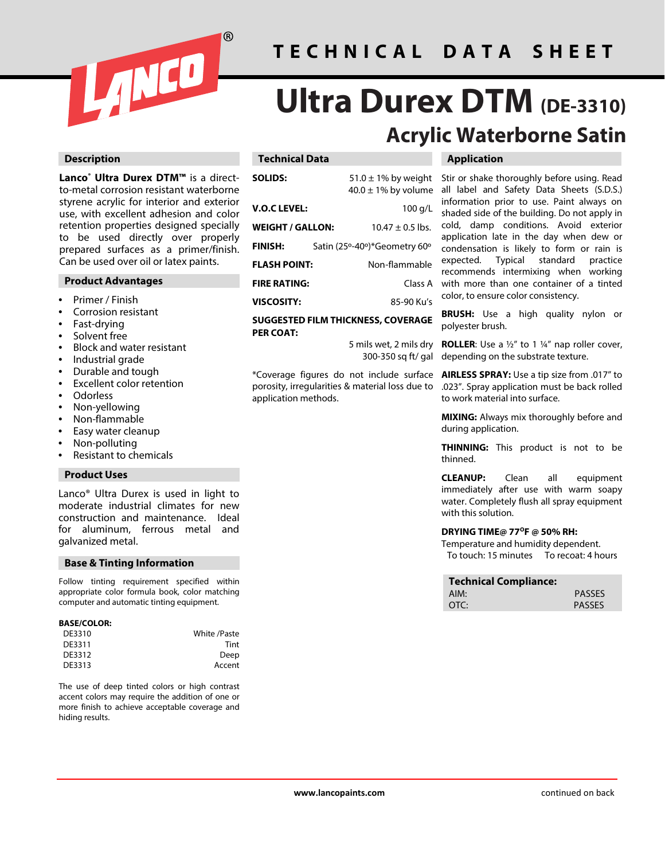

# **T E C H N I C A L D A T A S H E E T**

# **Ultra Durex DTM (DE-3310) Acrylic Waterborne Satin**

# **Description**

**Lanco® Ultra Durex DTM™** is a directto-metal corrosion resistant waterborne styrene acrylic for interior and exterior use, with excellent adhesion and color retention properties designed specially to be used directly over properly prepared surfaces as a primer/finish. Can be used over oil or latex paints.

# **Product Advantages**

- Primer / Finish
- Corrosion resistant
- Fast-drying
- Solvent free
- Block and water resistant
- Industrial grade
- Durable and tough
- **Excellent color retention**
- Odorless
- Non-yellowing
- Non-flammable
- Easy water cleanup
- Non-polluting
- Resistant to chemicals

### **Product Uses**

Lanco® Ultra Durex is used in light to moderate industrial climates for new construction and maintenance. Ideal for aluminum, ferrous metal and galvanized metal.

#### **Base & Tinting Information**

Follow tinting requirement specified within appropriate color formula book, color matching computer and automatic tinting equipment.

#### **BASE/COLOR:**

| White /Paste | DE3310 |
|--------------|--------|
| Tint         | DE3311 |
| Deep         | DE3312 |
| Accent       | DE3313 |
|              |        |

The use of deep tinted colors or high contrast accent colors may require the addition of one or more finish to achieve acceptable coverage and hiding results.

# **Technical Data**

| <b>SOLIDS:</b>      | $51.0 \pm 1\%$ by weight<br>$40.0 \pm 1\%$ by volume |
|---------------------|------------------------------------------------------|
| <b>V.O.C LEVEL:</b> | $100$ g/L                                            |
| WEIGHT / GALLON:    | $10.47 \pm 0.5$ lbs.                                 |
| FINISH:             | Satin (25°-40°)*Geometry 60°                         |
| <b>FLASH POINT:</b> | Non-flammable                                        |
| FIRE RATING:        | Class A                                              |
| <b>VISCOSITY:</b>   | 85-90 Ku's                                           |
|                     |                                                      |

**SUGGESTED FILM THICKNESS, COVERAGE PER COAT:**

> 5 mils wet, 2 mils dry 300-350 sq ft/ gal

\*Coverage figures do not include surface porosity, irregularities & material loss due to application methods.

# **Application**

Stir or shake thoroughly before using. Read all label and Safety Data Sheets (S.D.S.) information prior to use. Paint always on shaded side of the building. Do not apply in cold, damp conditions. Avoid exterior application late in the day when dew or condensation is likely to form or rain is expected. Typical standard practice recommends intermixing when working with more than one container of a tinted color, to ensure color consistency.

**BRUSH:** Use a high quality nylon or polyester brush.

**ROLLER:** Use a 1/2" to 1 1/4" nap roller cover, depending on the substrate texture.

**AIRLESS SPRAY:** Use a tip size from .017" to .023". Spray application must be back rolled to work material into surface.

**MIXING:** Always mix thoroughly before and during application.

**THINNING:** This product is not to be thinned.

**CLEANUP:** Clean all equipment immediately after use with warm soapy water. Completely flush all spray equipment with this solution.

### **DRYING TIME@ 77OF @ 50% RH:**

Temperature and humidity dependent. To touch: 15 minutes To recoat: 4 hours

| <b>Technical Compliance:</b> |               |
|------------------------------|---------------|
| AIM:                         | <b>PASSES</b> |
| OTC:                         | <b>PASSES</b> |